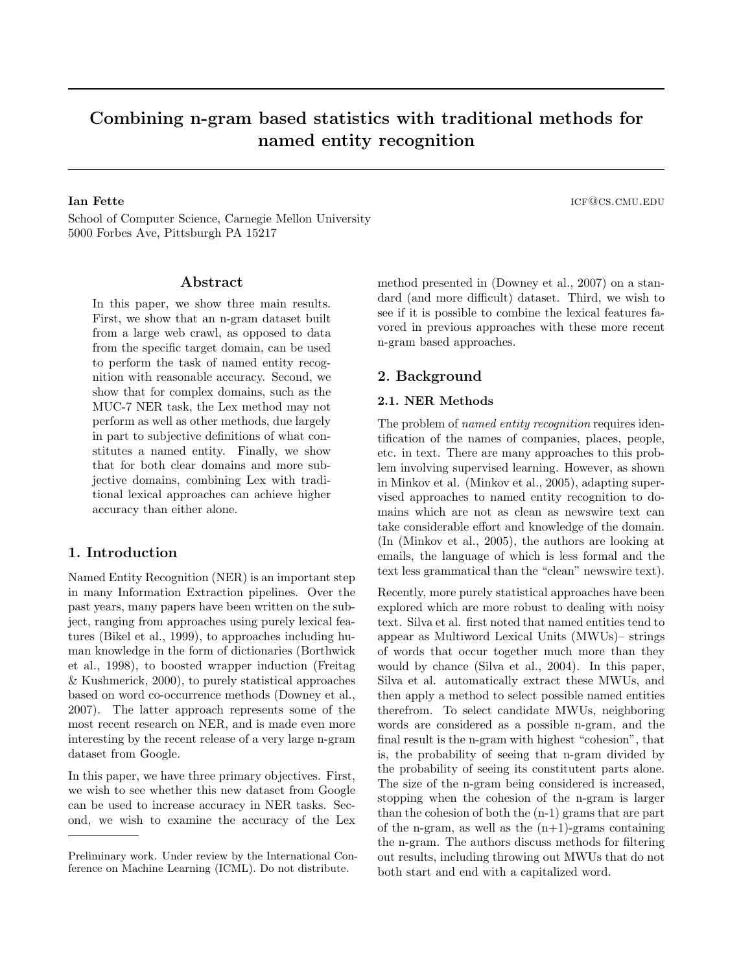# Combining n-gram based statistics with traditional methods for named entity recognition

School of Computer Science, Carnegie Mellon University 5000 Forbes Ave, Pittsburgh PA 15217

# Abstract

In this paper, we show three main results. First, we show that an n-gram dataset built from a large web crawl, as opposed to data from the specific target domain, can be used to perform the task of named entity recognition with reasonable accuracy. Second, we show that for complex domains, such as the MUC-7 NER task, the Lex method may not perform as well as other methods, due largely in part to subjective definitions of what constitutes a named entity. Finally, we show that for both clear domains and more subjective domains, combining Lex with traditional lexical approaches can achieve higher accuracy than either alone.

# 1. Introduction

Named Entity Recognition (NER) is an important step in many Information Extraction pipelines. Over the past years, many papers have been written on the subject, ranging from approaches using purely lexical features (Bikel et al., 1999), to approaches including human knowledge in the form of dictionaries (Borthwick et al., 1998), to boosted wrapper induction (Freitag & Kushmerick, 2000), to purely statistical approaches based on word co-occurrence methods (Downey et al., 2007). The latter approach represents some of the most recent research on NER, and is made even more interesting by the recent release of a very large n-gram dataset from Google.

In this paper, we have three primary objectives. First, we wish to see whether this new dataset from Google can be used to increase accuracy in NER tasks. Second, we wish to examine the accuracy of the Lex method presented in (Downey et al., 2007) on a standard (and more difficult) dataset. Third, we wish to see if it is possible to combine the lexical features favored in previous approaches with these more recent n-gram based approaches.

# 2. Background

## 2.1. NER Methods

The problem of named entity recognition requires identification of the names of companies, places, people, etc. in text. There are many approaches to this problem involving supervised learning. However, as shown in Minkov et al. (Minkov et al., 2005), adapting supervised approaches to named entity recognition to domains which are not as clean as newswire text can take considerable effort and knowledge of the domain. (In (Minkov et al., 2005), the authors are looking at emails, the language of which is less formal and the text less grammatical than the "clean" newswire text).

Recently, more purely statistical approaches have been explored which are more robust to dealing with noisy text. Silva et al. first noted that named entities tend to appear as Multiword Lexical Units (MWUs)– strings of words that occur together much more than they would by chance (Silva et al., 2004). In this paper, Silva et al. automatically extract these MWUs, and then apply a method to select possible named entities therefrom. To select candidate MWUs, neighboring words are considered as a possible n-gram, and the final result is the n-gram with highest "cohesion", that is, the probability of seeing that n-gram divided by the probability of seeing its constitutent parts alone. The size of the n-gram being considered is increased, stopping when the cohesion of the n-gram is larger than the cohesion of both the (n-1) grams that are part of the n-gram, as well as the  $(n+1)$ -grams containing the n-gram. The authors discuss methods for filtering out results, including throwing out MWUs that do not both start and end with a capitalized word.

**Ian Fette** is a set of the interval of the interval of the interval of the interval of the interval of the interval of the interval of the interval of the interval of the interval of the interval of the interval of the in

Preliminary work. Under review by the International Conference on Machine Learning (ICML). Do not distribute.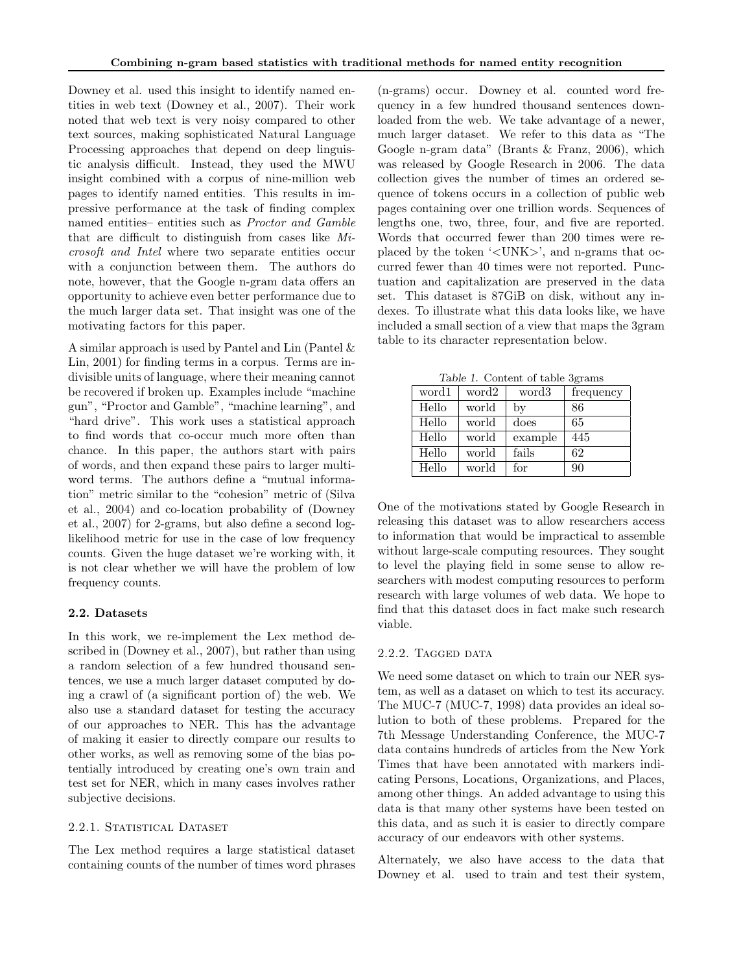Downey et al. used this insight to identify named entities in web text (Downey et al., 2007). Their work noted that web text is very noisy compared to other text sources, making sophisticated Natural Language Processing approaches that depend on deep linguistic analysis difficult. Instead, they used the MWU insight combined with a corpus of nine-million web pages to identify named entities. This results in impressive performance at the task of finding complex named entities– entities such as Proctor and Gamble that are difficult to distinguish from cases like Microsoft and Intel where two separate entities occur with a conjunction between them. The authors do note, however, that the Google n-gram data offers an opportunity to achieve even better performance due to the much larger data set. That insight was one of the motivating factors for this paper.

A similar approach is used by Pantel and Lin (Pantel & Lin, 2001) for finding terms in a corpus. Terms are indivisible units of language, where their meaning cannot be recovered if broken up. Examples include "machine gun", "Proctor and Gamble", "machine learning", and "hard drive". This work uses a statistical approach to find words that co-occur much more often than chance. In this paper, the authors start with pairs of words, and then expand these pairs to larger multiword terms. The authors define a "mutual information" metric similar to the "cohesion" metric of (Silva et al., 2004) and co-location probability of (Downey et al., 2007) for 2-grams, but also define a second loglikelihood metric for use in the case of low frequency counts. Given the huge dataset we're working with, it is not clear whether we will have the problem of low frequency counts.

## 2.2. Datasets

In this work, we re-implement the Lex method described in (Downey et al., 2007), but rather than using a random selection of a few hundred thousand sentences, we use a much larger dataset computed by doing a crawl of (a significant portion of) the web. We also use a standard dataset for testing the accuracy of our approaches to NER. This has the advantage of making it easier to directly compare our results to other works, as well as removing some of the bias potentially introduced by creating one's own train and test set for NER, which in many cases involves rather subjective decisions.

## 2.2.1. STATISTICAL DATASET

The Lex method requires a large statistical dataset containing counts of the number of times word phrases

(n-grams) occur. Downey et al. counted word frequency in a few hundred thousand sentences downloaded from the web. We take advantage of a newer, much larger dataset. We refer to this data as "The Google n-gram data" (Brants & Franz, 2006), which was released by Google Research in 2006. The data collection gives the number of times an ordered sequence of tokens occurs in a collection of public web pages containing over one trillion words. Sequences of lengths one, two, three, four, and five are reported. Words that occurred fewer than 200 times were replaced by the token '<UNK>', and n-grams that occurred fewer than 40 times were not reported. Punctuation and capitalization are preserved in the data set. This dataset is 87GiB on disk, without any indexes. To illustrate what this data looks like, we have included a small section of a view that maps the 3gram table to its character representation below.

Table 1. Content of table 3grams

| IGO IT COMPONED OF POOL OF OUTLO |       |         |           |  |
|----------------------------------|-------|---------|-----------|--|
| word1                            | word2 | word3   | frequency |  |
| Hello                            | world | by      | 86        |  |
| Hello                            | world | does    | 65        |  |
| Hello                            | world | example | 445       |  |
| Hello                            | world | fails   | 62        |  |
| Hello                            | world | for     | 90        |  |

One of the motivations stated by Google Research in releasing this dataset was to allow researchers access to information that would be impractical to assemble without large-scale computing resources. They sought to level the playing field in some sense to allow researchers with modest computing resources to perform research with large volumes of web data. We hope to find that this dataset does in fact make such research viable.

#### 2.2.2. TAGGED DATA

We need some dataset on which to train our NER system, as well as a dataset on which to test its accuracy. The MUC-7 (MUC-7, 1998) data provides an ideal solution to both of these problems. Prepared for the 7th Message Understanding Conference, the MUC-7 data contains hundreds of articles from the New York Times that have been annotated with markers indicating Persons, Locations, Organizations, and Places, among other things. An added advantage to using this data is that many other systems have been tested on this data, and as such it is easier to directly compare accuracy of our endeavors with other systems.

Alternately, we also have access to the data that Downey et al. used to train and test their system,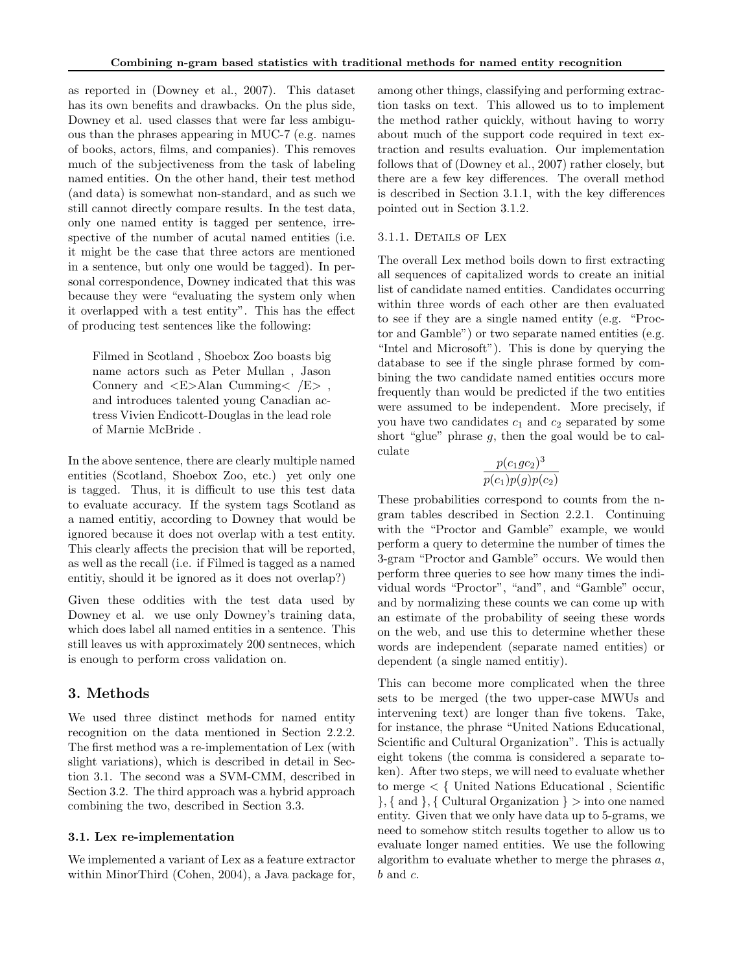as reported in (Downey et al., 2007). This dataset has its own benefits and drawbacks. On the plus side, Downey et al. used classes that were far less ambiguous than the phrases appearing in MUC-7 (e.g. names of books, actors, films, and companies). This removes much of the subjectiveness from the task of labeling named entities. On the other hand, their test method (and data) is somewhat non-standard, and as such we still cannot directly compare results. In the test data, only one named entity is tagged per sentence, irrespective of the number of acutal named entities (i.e. it might be the case that three actors are mentioned in a sentence, but only one would be tagged). In personal correspondence, Downey indicated that this was because they were "evaluating the system only when it overlapped with a test entity". This has the effect of producing test sentences like the following:

Filmed in Scotland , Shoebox Zoo boasts big name actors such as Peter Mullan , Jason Connery and  $\langle E \rangle$ Alan Cumming $\langle E \rangle$ , and introduces talented young Canadian actress Vivien Endicott-Douglas in the lead role of Marnie McBride .

In the above sentence, there are clearly multiple named entities (Scotland, Shoebox Zoo, etc.) yet only one is tagged. Thus, it is difficult to use this test data to evaluate accuracy. If the system tags Scotland as a named entitiy, according to Downey that would be ignored because it does not overlap with a test entity. This clearly affects the precision that will be reported, as well as the recall (i.e. if Filmed is tagged as a named entitiy, should it be ignored as it does not overlap?)

Given these oddities with the test data used by Downey et al. we use only Downey's training data, which does label all named entities in a sentence. This still leaves us with approximately 200 sentneces, which is enough to perform cross validation on.

# 3. Methods

We used three distinct methods for named entity recognition on the data mentioned in Section 2.2.2. The first method was a re-implementation of Lex (with slight variations), which is described in detail in Section 3.1. The second was a SVM-CMM, described in Section 3.2. The third approach was a hybrid approach combining the two, described in Section 3.3.

# 3.1. Lex re-implementation

We implemented a variant of Lex as a feature extractor within MinorThird (Cohen, 2004), a Java package for,

among other things, classifying and performing extraction tasks on text. This allowed us to to implement the method rather quickly, without having to worry about much of the support code required in text extraction and results evaluation. Our implementation follows that of (Downey et al., 2007) rather closely, but there are a few key differences. The overall method is described in Section 3.1.1, with the key differences pointed out in Section 3.1.2.

# 3.1.1. DETAILS OF LEX

The overall Lex method boils down to first extracting all sequences of capitalized words to create an initial list of candidate named entities. Candidates occurring within three words of each other are then evaluated to see if they are a single named entity (e.g. "Proctor and Gamble") or two separate named entities (e.g. "Intel and Microsoft"). This is done by querying the database to see if the single phrase formed by combining the two candidate named entities occurs more frequently than would be predicted if the two entities were assumed to be independent. More precisely, if you have two candidates  $c_1$  and  $c_2$  separated by some short "glue" phrase  $g$ , then the goal would be to calculate

$$
\frac{p(c_1gc_2)^3}{p(c_1)p(g)p(c_2)}
$$

These probabilities correspond to counts from the ngram tables described in Section 2.2.1. Continuing with the "Proctor and Gamble" example, we would perform a query to determine the number of times the 3-gram "Proctor and Gamble" occurs. We would then perform three queries to see how many times the individual words "Proctor", "and", and "Gamble" occur, and by normalizing these counts we can come up with an estimate of the probability of seeing these words on the web, and use this to determine whether these words are independent (separate named entities) or dependent (a single named entitiy).

This can become more complicated when the three sets to be merged (the two upper-case MWUs and intervening text) are longer than five tokens. Take, for instance, the phrase "United Nations Educational, Scientific and Cultural Organization". This is actually eight tokens (the comma is considered a separate token). After two steps, we will need to evaluate whether to merge < { United Nations Educational , Scientific  $\}, \{$  and  $\}, \{$  Cultural Organization  $\}$  > into one named entity. Given that we only have data up to 5-grams, we need to somehow stitch results together to allow us to evaluate longer named entities. We use the following algorithm to evaluate whether to merge the phrases  $a$ ,  $b$  and  $c$ .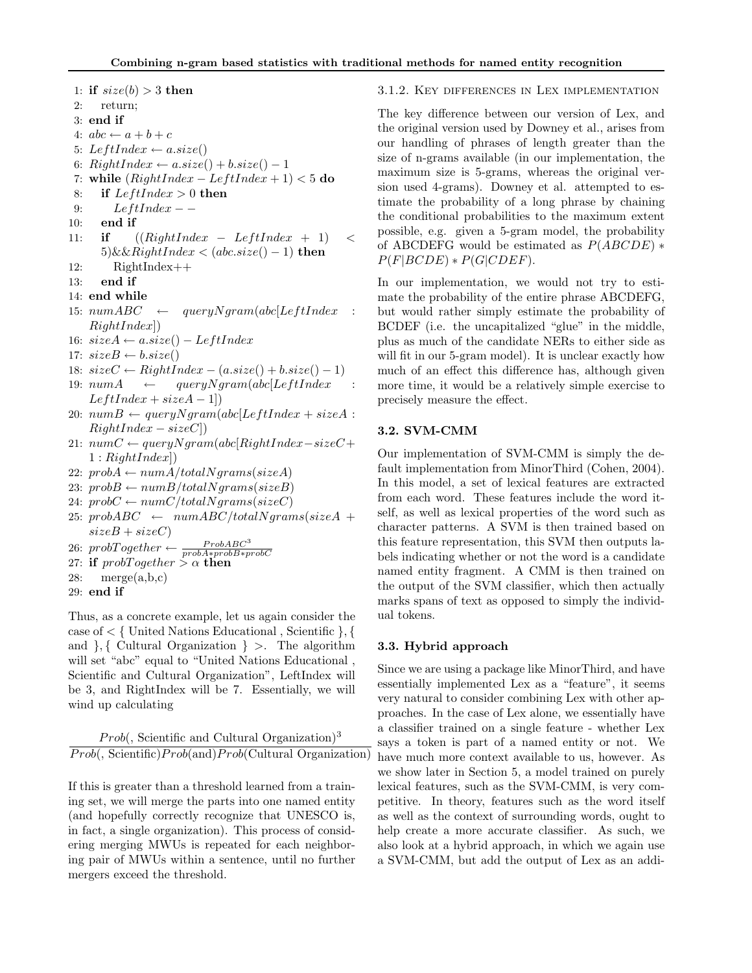1: if  $size(b) > 3$  then 2: return; 3: end if 4:  $abc \leftarrow a + b + c$ 5: LeftIndex  $\leftarrow a.size()$ 6:  $RightIndex \leftarrow a.size() + b.size() - 1$ 7: while  $(RightIndex - LeftIndex + 1) < 5$  do 8: if  $LeftIndex > 0$  then 9:  $LeftIndex - -$ 10: end if 11: **if**  $((RightIndex - LeftIndex + 1) <$  $5)$ &&RightIndex < (abc.size() – 1) then 12: RightIndex++ 13: end if 14: end while 15:  $numABC \leftarrow queryNgram(abc[LeftIndex$  $RightIndex$ ) 16:  $sizeA \leftarrow a.size() - LeftIndex$ 17:  $sizeB \leftarrow b.size()$ 18:  $sizeC \leftarrow RightIndex - (a.size() + b.size() - 1)$ 19:  $numA \leftarrow queryNgram(abc[LeftIndex :$  $LeftIndex + sizeA - 1$ ]) 20:  $numB \leftarrow queryNgram(abc[LeftIndex + sizeA :$  $RightIndex - sizeC$ ] 21:  $numC \leftarrow queryNgram(abc[RightIndex-sizeC +$  $1: RightIndex$ 22:  $probA \leftarrow numA/totalNgrams(sizeA)$ 23:  $probB \leftarrow numB/totalNgrams(sizeB)$ 24:  $probC \leftarrow numC/totalNgrams(sizeC)$ 25:  $probABC \leftarrow numABC/totalNgrams(sizeA +$  $sizeB + sizeC$ 26: prob $Together \leftarrow \frac{ProbABC^3}{probA * probB * probC}$ <br>27: if probTogether >  $\alpha$  then 28: merge $(a,b,c)$ 

29: end if

Thus, as a concrete example, let us again consider the case of  $\lt\{$  United Nations Educational , Scientific  $\}$ , { and  $\}$ , { Cultural Organization } >. The algorithm will set "abc" equal to "United Nations Educational , Scientific and Cultural Organization", LeftIndex will be 3, and RightIndex will be 7. Essentially, we will wind up calculating

 $Prob($ , Scientific and Cultural Organization)<sup>3</sup>  $Prob($ , Scientific) $Prob($  and) $Prob($ Cultural Organization)

If this is greater than a threshold learned from a training set, we will merge the parts into one named entity (and hopefully correctly recognize that UNESCO is, in fact, a single organization). This process of considering merging MWUs is repeated for each neighboring pair of MWUs within a sentence, until no further mergers exceed the threshold.

#### 3.1.2. Key differences in Lex implementation

The key difference between our version of Lex, and the original version used by Downey et al., arises from our handling of phrases of length greater than the size of n-grams available (in our implementation, the maximum size is 5-grams, whereas the original version used 4-grams). Downey et al. attempted to estimate the probability of a long phrase by chaining the conditional probabilities to the maximum extent possible, e.g. given a 5-gram model, the probability of ABCDEFG would be estimated as  $P(ABCDE)$  \*  $P(F|BCDE) * P(G|CDEF).$ 

In our implementation, we would not try to estimate the probability of the entire phrase ABCDEFG, but would rather simply estimate the probability of BCDEF (i.e. the uncapitalized "glue" in the middle, plus as much of the candidate NERs to either side as will fit in our 5-gram model). It is unclear exactly how much of an effect this difference has, although given more time, it would be a relatively simple exercise to precisely measure the effect.

#### 3.2. SVM-CMM

Our implementation of SVM-CMM is simply the default implementation from MinorThird (Cohen, 2004). In this model, a set of lexical features are extracted from each word. These features include the word itself, as well as lexical properties of the word such as character patterns. A SVM is then trained based on this feature representation, this SVM then outputs labels indicating whether or not the word is a candidate named entity fragment. A CMM is then trained on the output of the SVM classifier, which then actually marks spans of text as opposed to simply the individual tokens.

## 3.3. Hybrid approach

Since we are using a package like MinorThird, and have essentially implemented Lex as a "feature", it seems very natural to consider combining Lex with other approaches. In the case of Lex alone, we essentially have a classifier trained on a single feature - whether Lex says a token is part of a named entity or not. We have much more context available to us, however. As we show later in Section 5, a model trained on purely lexical features, such as the SVM-CMM, is very competitive. In theory, features such as the word itself as well as the context of surrounding words, ought to help create a more accurate classifier. As such, we also look at a hybrid approach, in which we again use a SVM-CMM, but add the output of Lex as an addi-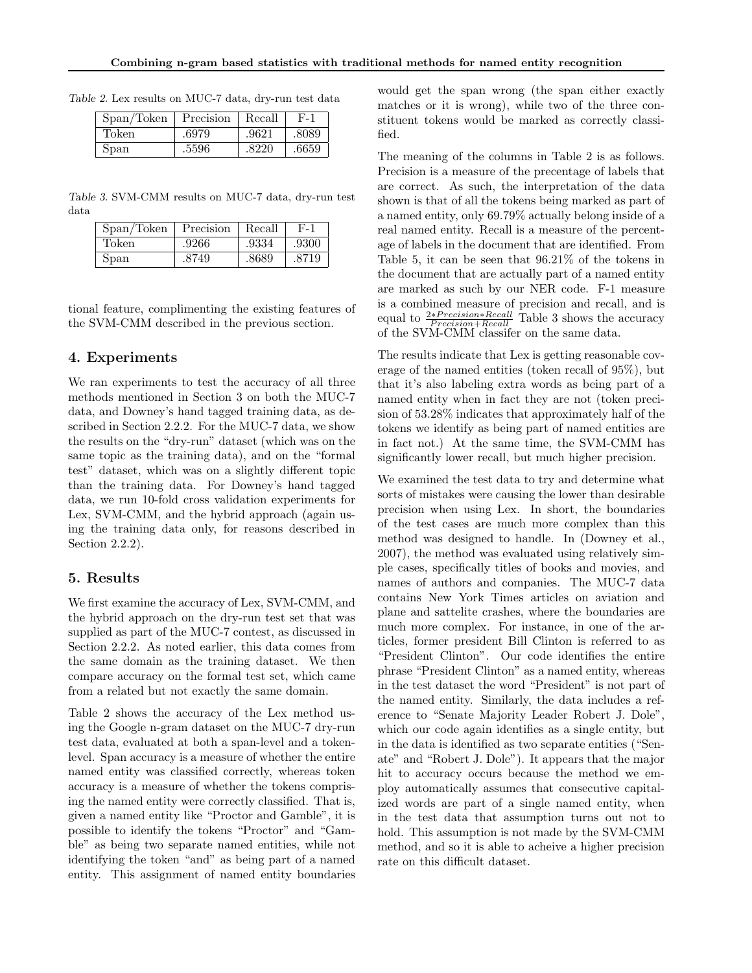| Span/Token | Precision | Recall | F-1   |
|------------|-----------|--------|-------|
| Token      | .6979     | .9621  | .8089 |
| Span       | .5596     | .8220  | .6659 |

Table 2. Lex results on MUC-7 data, dry-run test data

Table 3. SVM-CMM results on MUC-7 data, dry-run test data

| Span/Token | Precision | Recall | F-1   |
|------------|-----------|--------|-------|
| Token      | .9266     | .9334  | .9300 |
| Span       | .8749     | .8689  | .8719 |

tional feature, complimenting the existing features of the SVM-CMM described in the previous section.

# 4. Experiments

We ran experiments to test the accuracy of all three methods mentioned in Section 3 on both the MUC-7 data, and Downey's hand tagged training data, as described in Section 2.2.2. For the MUC-7 data, we show the results on the "dry-run" dataset (which was on the same topic as the training data), and on the "formal test" dataset, which was on a slightly different topic than the training data. For Downey's hand tagged data, we run 10-fold cross validation experiments for Lex, SVM-CMM, and the hybrid approach (again using the training data only, for reasons described in Section 2.2.2).

# 5. Results

We first examine the accuracy of Lex, SVM-CMM, and the hybrid approach on the dry-run test set that was supplied as part of the MUC-7 contest, as discussed in Section 2.2.2. As noted earlier, this data comes from the same domain as the training dataset. We then compare accuracy on the formal test set, which came from a related but not exactly the same domain.

Table 2 shows the accuracy of the Lex method using the Google n-gram dataset on the MUC-7 dry-run test data, evaluated at both a span-level and a tokenlevel. Span accuracy is a measure of whether the entire named entity was classified correctly, whereas token accuracy is a measure of whether the tokens comprising the named entity were correctly classified. That is, given a named entity like "Proctor and Gamble", it is possible to identify the tokens "Proctor" and "Gamble" as being two separate named entities, while not identifying the token "and" as being part of a named entity. This assignment of named entity boundaries

would get the span wrong (the span either exactly matches or it is wrong), while two of the three constituent tokens would be marked as correctly classified.

The meaning of the columns in Table 2 is as follows. Precision is a measure of the precentage of labels that are correct. As such, the interpretation of the data shown is that of all the tokens being marked as part of a named entity, only 69.79% actually belong inside of a real named entity. Recall is a measure of the percentage of labels in the document that are identified. From Table 5, it can be seen that 96.21% of the tokens in the document that are actually part of a named entity are marked as such by our NER code. F-1 measure is a combined measure of precision and recall, and is equal to  $\frac{2*Precision*Recall}{Precision+Recall}$  Table 3 shows the accuracy of the SVM-CMM classifer on the same data.

The results indicate that Lex is getting reasonable coverage of the named entities (token recall of 95%), but that it's also labeling extra words as being part of a named entity when in fact they are not (token precision of 53.28% indicates that approximately half of the tokens we identify as being part of named entities are in fact not.) At the same time, the SVM-CMM has significantly lower recall, but much higher precision.

We examined the test data to try and determine what sorts of mistakes were causing the lower than desirable precision when using Lex. In short, the boundaries of the test cases are much more complex than this method was designed to handle. In (Downey et al., 2007), the method was evaluated using relatively simple cases, specifically titles of books and movies, and names of authors and companies. The MUC-7 data contains New York Times articles on aviation and plane and sattelite crashes, where the boundaries are much more complex. For instance, in one of the articles, former president Bill Clinton is referred to as "President Clinton". Our code identifies the entire phrase "President Clinton" as a named entity, whereas in the test dataset the word "President" is not part of the named entity. Similarly, the data includes a reference to "Senate Majority Leader Robert J. Dole", which our code again identifies as a single entity, but in the data is identified as two separate entities ("Senate" and "Robert J. Dole"). It appears that the major hit to accuracy occurs because the method we employ automatically assumes that consecutive capitalized words are part of a single named entity, when in the test data that assumption turns out not to hold. This assumption is not made by the SVM-CMM method, and so it is able to acheive a higher precision rate on this difficult dataset.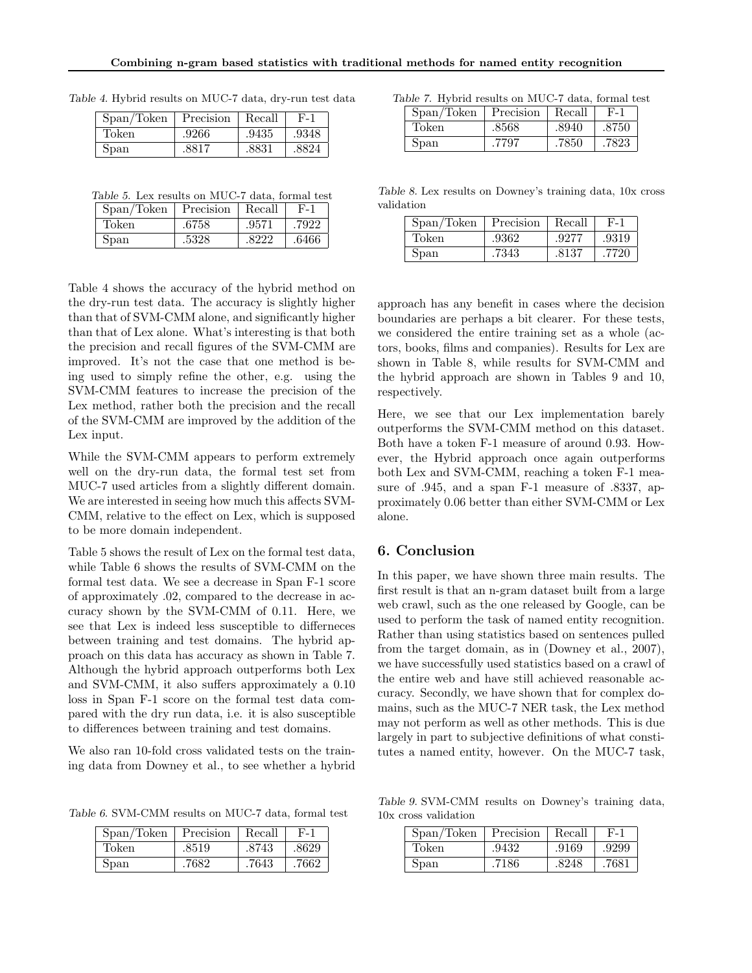| $Span/Token$   Precision |       | Recall | F-1   |
|--------------------------|-------|--------|-------|
| Token                    | .9266 | .9435  | .9348 |
| Span                     | .8817 | .8831  | .8824 |

Table 4. Hybrid results on MUC-7 data, dry-run test data

| Table 5. Lex results on MUC-7 data, formal test |  |  |  |  |  |  |  |
|-------------------------------------------------|--|--|--|--|--|--|--|
|-------------------------------------------------|--|--|--|--|--|--|--|

| Span/Token | Precision   Recall |       | $F-1$ |
|------------|--------------------|-------|-------|
| Token      | .6758              | .9571 | .7922 |
| Span       | .5328              | .8222 | .6466 |

Table 4 shows the accuracy of the hybrid method on the dry-run test data. The accuracy is slightly higher than that of SVM-CMM alone, and significantly higher than that of Lex alone. What's interesting is that both the precision and recall figures of the SVM-CMM are improved. It's not the case that one method is being used to simply refine the other, e.g. using the SVM-CMM features to increase the precision of the Lex method, rather both the precision and the recall of the SVM-CMM are improved by the addition of the Lex input.

While the SVM-CMM appears to perform extremely well on the dry-run data, the formal test set from MUC-7 used articles from a slightly different domain. We are interested in seeing how much this affects SVM-CMM, relative to the effect on Lex, which is supposed to be more domain independent.

Table 5 shows the result of Lex on the formal test data, while Table 6 shows the results of SVM-CMM on the formal test data. We see a decrease in Span F-1 score of approximately .02, compared to the decrease in accuracy shown by the SVM-CMM of 0.11. Here, we see that Lex is indeed less susceptible to differneces between training and test domains. The hybrid approach on this data has accuracy as shown in Table 7. Although the hybrid approach outperforms both Lex and SVM-CMM, it also suffers approximately a 0.10 loss in Span F-1 score on the formal test data compared with the dry run data, i.e. it is also susceptible to differences between training and test domains.

We also ran 10-fold cross validated tests on the training data from Downey et al., to see whether a hybrid

Table 7. Hybrid results on MUC-7 data, formal test

| Span/Token | Precision | Recall | $F-1$ |
|------------|-----------|--------|-------|
| Token      | .8568     | .8940  | .8750 |
| Span       | .7797     | .7850  | .7823 |

Table 8. Lex results on Downey's training data, 10x cross validation

| Span/Token | Precision | Recall |       |
|------------|-----------|--------|-------|
| Token      | .9362     | .9277  | .9319 |
| Span       | .7343     | .8137  | -7720 |

approach has any benefit in cases where the decision boundaries are perhaps a bit clearer. For these tests, we considered the entire training set as a whole (actors, books, films and companies). Results for Lex are shown in Table 8, while results for SVM-CMM and the hybrid approach are shown in Tables 9 and 10, respectively.

Here, we see that our Lex implementation barely outperforms the SVM-CMM method on this dataset. Both have a token F-1 measure of around 0.93. However, the Hybrid approach once again outperforms both Lex and SVM-CMM, reaching a token F-1 measure of .945, and a span F-1 measure of .8337, approximately 0.06 better than either SVM-CMM or Lex alone.

# 6. Conclusion

In this paper, we have shown three main results. The first result is that an n-gram dataset built from a large web crawl, such as the one released by Google, can be used to perform the task of named entity recognition. Rather than using statistics based on sentences pulled from the target domain, as in (Downey et al., 2007), we have successfully used statistics based on a crawl of the entire web and have still achieved reasonable accuracy. Secondly, we have shown that for complex domains, such as the MUC-7 NER task, the Lex method may not perform as well as other methods. This is due largely in part to subjective definitions of what constitutes a named entity, however. On the MUC-7 task,

Table 6. SVM-CMM results on MUC-7 data, formal test

| Span/Token | Precision | Recall | F-1   |
|------------|-----------|--------|-------|
| Token      | .8519     | .8743  | .8629 |
| Span       | .7682     | .7643  | .7662 |

Table 9. SVM-CMM results on Downey's training data, 10x cross validation

| Span/Token | 1 Precision | Recall |       |
|------------|-------------|--------|-------|
| Token      | 9432        | .9169  | .9299 |
| Span       | 7186        | .8248  |       |